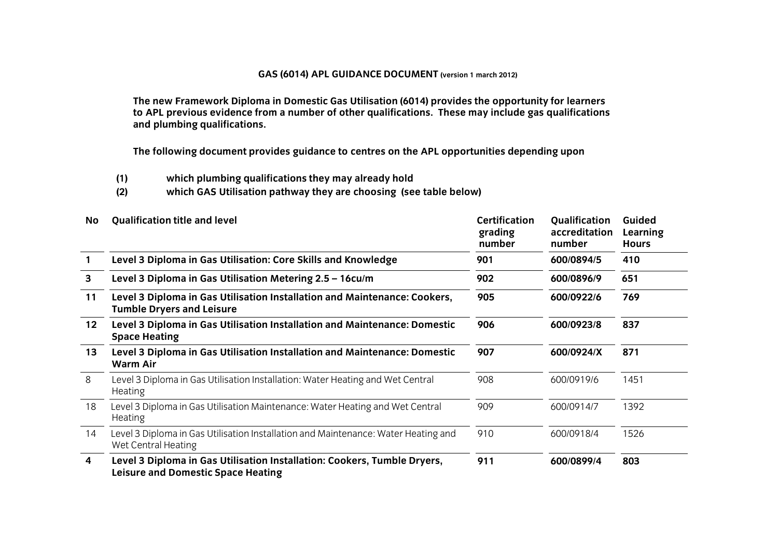## **GAS (6014) APL GUIDANCE DOCUMENT (version 1 march 2012)**

**The new Framework Diploma in Domestic Gas Utilisation (6014) provides the opportunity for learners to APL previous evidence from a number of other qualifications. These may include gas qualifications and plumbing qualifications.**

**The following document provides guidance to centres on the APL opportunities depending upon**

- 
- **(1) which plumbing qualifications they may already hold (2) which GAS Utilisation pathway they are choosing (see table below)**

| No              | <b>Qualification title and level</b>                                                                                  | <b>Certification</b><br>grading<br>number | <b>Qualification</b><br>accreditation<br>number | Guided<br>Learning<br><b>Hours</b> |
|-----------------|-----------------------------------------------------------------------------------------------------------------------|-------------------------------------------|-------------------------------------------------|------------------------------------|
|                 | Level 3 Diploma in Gas Utilisation: Core Skills and Knowledge                                                         | 901                                       | 600/0894/5                                      | 410                                |
| 3               | Level 3 Diploma in Gas Utilisation Metering 2.5 - 16cu/m                                                              | 902                                       | 600/0896/9                                      | 651                                |
| 11              | Level 3 Diploma in Gas Utilisation Installation and Maintenance: Cookers,<br><b>Tumble Dryers and Leisure</b>         | 905                                       | 600/0922/6                                      | 769                                |
| 12 <sup>2</sup> | Level 3 Diploma in Gas Utilisation Installation and Maintenance: Domestic<br><b>Space Heating</b>                     | 906                                       | 600/0923/8                                      | 837                                |
| 13              | Level 3 Diploma in Gas Utilisation Installation and Maintenance: Domestic<br><b>Warm Air</b>                          | 907                                       | 600/0924/X                                      | 871                                |
| 8               | Level 3 Diploma in Gas Utilisation Installation: Water Heating and Wet Central<br><b>Heating</b>                      | 908                                       | 600/0919/6                                      | 1451                               |
| 18              | Level 3 Diploma in Gas Utilisation Maintenance: Water Heating and Wet Central<br><b>Heating</b>                       | 909                                       | 600/0914/7                                      | 1392                               |
| 14              | Level 3 Diploma in Gas Utilisation Installation and Maintenance: Water Heating and<br>Wet Central Heating             | 910                                       | 600/0918/4                                      | 1526                               |
| 4               | Level 3 Diploma in Gas Utilisation Installation: Cookers, Tumble Dryers,<br><b>Leisure and Domestic Space Heating</b> | 911                                       | 600/0899/4                                      | 803                                |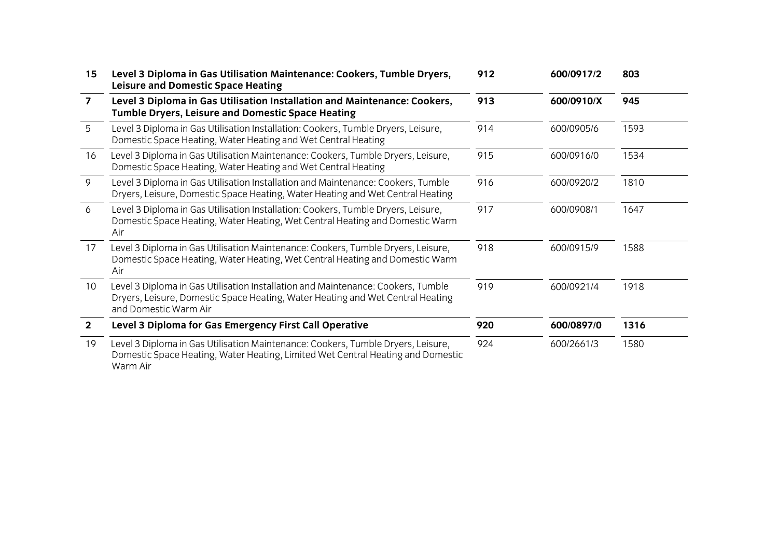| 15 <sub>1</sub> | Level 3 Diploma in Gas Utilisation Maintenance: Cookers, Tumble Dryers,<br><b>Leisure and Domestic Space Heating</b>                                                                        | 912 | 600/0917/2 | 803  |
|-----------------|---------------------------------------------------------------------------------------------------------------------------------------------------------------------------------------------|-----|------------|------|
| $\overline{ }$  | Level 3 Diploma in Gas Utilisation Installation and Maintenance: Cookers,<br><b>Tumble Dryers, Leisure and Domestic Space Heating</b>                                                       | 913 | 600/0910/X | 945  |
| 5               | Level 3 Diploma in Gas Utilisation Installation: Cookers, Tumble Dryers, Leisure,<br>Domestic Space Heating, Water Heating and Wet Central Heating                                          | 914 | 600/0905/6 | 1593 |
| 16              | Level 3 Diploma in Gas Utilisation Maintenance: Cookers, Tumble Dryers, Leisure,<br>Domestic Space Heating, Water Heating and Wet Central Heating                                           | 915 | 600/0916/0 | 1534 |
| 9               | Level 3 Diploma in Gas Utilisation Installation and Maintenance: Cookers, Tumble<br>Dryers, Leisure, Domestic Space Heating, Water Heating and Wet Central Heating                          | 916 | 600/0920/2 | 1810 |
| 6               | Level 3 Diploma in Gas Utilisation Installation: Cookers, Tumble Dryers, Leisure,<br>Domestic Space Heating, Water Heating, Wet Central Heating and Domestic Warm<br>Air                    | 917 | 600/0908/1 | 1647 |
| 17              | Level 3 Diploma in Gas Utilisation Maintenance: Cookers, Tumble Dryers, Leisure,<br>Domestic Space Heating, Water Heating, Wet Central Heating and Domestic Warm<br>Air                     | 918 | 600/0915/9 | 1588 |
| 10 <sup>°</sup> | Level 3 Diploma in Gas Utilisation Installation and Maintenance: Cookers, Tumble<br>Dryers, Leisure, Domestic Space Heating, Water Heating and Wet Central Heating<br>and Domestic Warm Air | 919 | 600/0921/4 | 1918 |
| $\mathbf{2}$    | Level 3 Diploma for Gas Emergency First Call Operative                                                                                                                                      | 920 | 600/0897/0 | 1316 |
| 19              | Level 3 Diploma in Gas Utilisation Maintenance: Cookers, Tumble Dryers, Leisure,<br>Domestic Space Heating, Water Heating, Limited Wet Central Heating and Domestic<br>Warm Air             | 924 | 600/2661/3 | 1580 |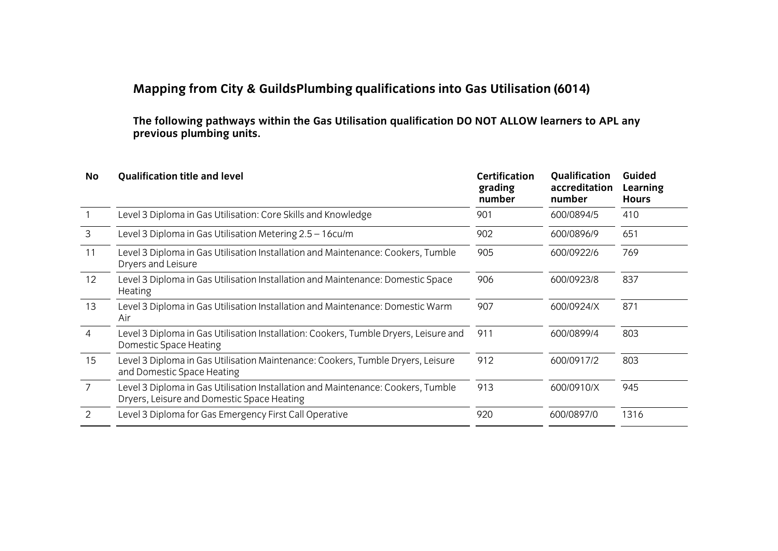## **Mapping from City & GuildsPlumbing qualifications into Gas Utilisation (6014)**

**The following pathways within the Gas Utilisation qualification DO NOT ALLOW learners to APL any previous plumbing units.**

| No            | <b>Qualification title and level</b>                                                                                           | <b>Certification</b><br>grading<br>number | <b>Qualification</b><br>accreditation<br>number | Guided<br>Learning<br><b>Hours</b> |
|---------------|--------------------------------------------------------------------------------------------------------------------------------|-------------------------------------------|-------------------------------------------------|------------------------------------|
|               | Level 3 Diploma in Gas Utilisation: Core Skills and Knowledge                                                                  | 901                                       | 600/0894/5                                      | 410                                |
| $\mathbf{3}$  | Level 3 Diploma in Gas Utilisation Metering 2.5 - 16cu/m                                                                       | 902                                       | 600/0896/9                                      | 651                                |
| 11            | Level 3 Diploma in Gas Utilisation Installation and Maintenance: Cookers, Tumble<br>Dryers and Leisure                         | 905                                       | 600/0922/6                                      | 769                                |
| 12            | Level 3 Diploma in Gas Utilisation Installation and Maintenance: Domestic Space<br>Heating                                     | 906                                       | 600/0923/8                                      | 837                                |
| 13            | Level 3 Diploma in Gas Utilisation Installation and Maintenance: Domestic Warm<br>Air                                          | 907                                       | 600/0924/X                                      | 871                                |
| 4             | Level 3 Diploma in Gas Utilisation Installation: Cookers, Tumble Dryers, Leisure and<br>Domestic Space Heating                 | 911                                       | 600/0899/4                                      | 803                                |
| 15            | Level 3 Diploma in Gas Utilisation Maintenance: Cookers, Tumble Dryers, Leisure<br>and Domestic Space Heating                  | 912                                       | 600/0917/2                                      | 803                                |
| 7             | Level 3 Diploma in Gas Utilisation Installation and Maintenance: Cookers, Tumble<br>Dryers, Leisure and Domestic Space Heating | 913                                       | 600/0910/X                                      | 945                                |
| $\mathcal{P}$ | Level 3 Diploma for Gas Emergency First Call Operative                                                                         | 920                                       | 600/0897/0                                      | 1316                               |
|               |                                                                                                                                |                                           |                                                 |                                    |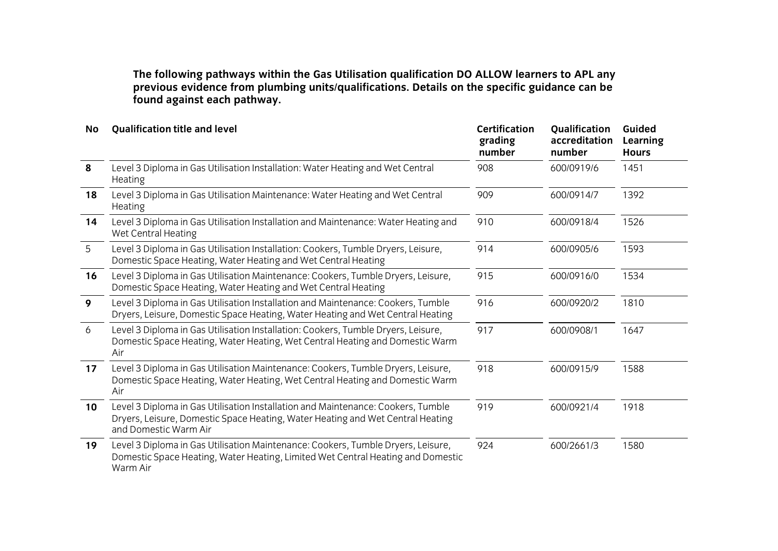**The following pathways within the Gas Utilisation qualification DO ALLOW learners to APL any providence from plumbing units on the specifications** of the specific guidance can be specific the specific guidance can be specific guidance can be specific guidance can be specific guidance can be specific guidance can **found against each pathway.**

| <b>No</b> | <b>Qualification title and level</b>                                                                                                                                                        | <b>Certification</b><br>grading<br>number | Qualification<br>accreditation<br>number | Guided<br><b>Learning</b><br><b>Hours</b> |
|-----------|---------------------------------------------------------------------------------------------------------------------------------------------------------------------------------------------|-------------------------------------------|------------------------------------------|-------------------------------------------|
| 8         | Level 3 Diploma in Gas Utilisation Installation: Water Heating and Wet Central<br>Heating                                                                                                   | 908                                       | 600/0919/6                               | 1451                                      |
| 18        | Level 3 Diploma in Gas Utilisation Maintenance: Water Heating and Wet Central<br>Heating                                                                                                    | 909                                       | 600/0914/7                               | 1392                                      |
| 14        | Level 3 Diploma in Gas Utilisation Installation and Maintenance: Water Heating and<br>Wet Central Heating                                                                                   | 910                                       | 600/0918/4                               | 1526                                      |
| 5         | Level 3 Diploma in Gas Utilisation Installation: Cookers, Tumble Dryers, Leisure,<br>Domestic Space Heating, Water Heating and Wet Central Heating                                          | 914                                       | 600/0905/6                               | 1593                                      |
| 16        | Level 3 Diploma in Gas Utilisation Maintenance: Cookers, Tumble Dryers, Leisure,<br>Domestic Space Heating, Water Heating and Wet Central Heating                                           | 915                                       | 600/0916/0                               | 1534                                      |
| 9         | Level 3 Diploma in Gas Utilisation Installation and Maintenance: Cookers, Tumble<br>Dryers, Leisure, Domestic Space Heating, Water Heating and Wet Central Heating                          | 916                                       | 600/0920/2                               | 1810                                      |
| 6         | Level 3 Diploma in Gas Utilisation Installation: Cookers, Tumble Dryers, Leisure,<br>Domestic Space Heating, Water Heating, Wet Central Heating and Domestic Warm<br>Air                    | 917                                       | 600/0908/1                               | 1647                                      |
| 17        | Level 3 Diploma in Gas Utilisation Maintenance: Cookers, Tumble Dryers, Leisure,<br>Domestic Space Heating, Water Heating, Wet Central Heating and Domestic Warm<br>Air                     | 918                                       | 600/0915/9                               | 1588                                      |
| 10        | Level 3 Diploma in Gas Utilisation Installation and Maintenance: Cookers, Tumble<br>Dryers, Leisure, Domestic Space Heating, Water Heating and Wet Central Heating<br>and Domestic Warm Air | 919                                       | 600/0921/4                               | 1918                                      |
| 19        | Level 3 Diploma in Gas Utilisation Maintenance: Cookers, Tumble Dryers, Leisure,<br>Domestic Space Heating, Water Heating, Limited Wet Central Heating and Domestic<br>Warm Air             | 924                                       | 600/2661/3                               | 1580                                      |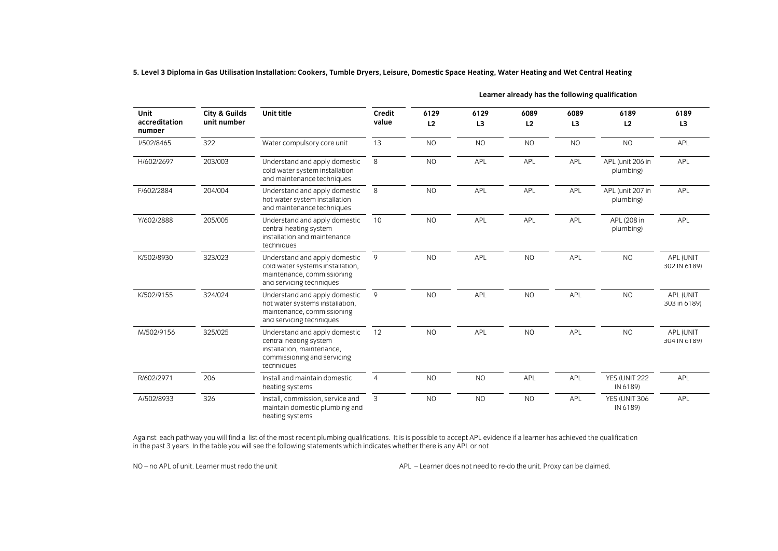5. Level 3 Diploma in Gas Utilisation Installation: Cookers, Tumble Dryers, Leisure, Domestic Space Heating, Water Heating and Wet Central Heating

| <b>Unit</b><br>accreditation<br>number | <b>City &amp; Guilds</b><br>unit number | <b>Unit title</b>                                                                                                                  | Credit<br>value | 6129<br>L2 | 6129<br>L <sub>3</sub> | 6089<br>L2     | 6089<br>L <sub>3</sub> | 6189<br>L2                    | 6189<br>L3                |
|----------------------------------------|-----------------------------------------|------------------------------------------------------------------------------------------------------------------------------------|-----------------|------------|------------------------|----------------|------------------------|-------------------------------|---------------------------|
| J/502/8465                             | 322                                     | Water compulsory core unit                                                                                                         | 13              | <b>NO</b>  | <b>NO</b>              | <b>NO</b>      | <b>NO</b>              | <b>NO</b>                     | APL                       |
| H/602/2697                             | 203/003                                 | Understand and apply domestic<br>cold water system installation<br>and maintenance techniques                                      | 8               | <b>NO</b>  | APL                    | APL            | APL                    | APL (unit 206 in<br>plumbing) | <b>APL</b>                |
| F/602/2884                             | 204/004                                 | Understand and apply domestic<br>hot water system installation<br>and maintenance techniques                                       | 8               | <b>NO</b>  | APL                    | <b>APL</b>     | APL                    | APL (unit 207 in<br>plumbing) | <b>APL</b>                |
| Y/602/2888                             | 205/005                                 | Understand and apply domestic<br>central heating system<br>installation and maintenance<br>techniques                              | 10              | <b>NO</b>  | <b>APL</b>             | <b>APL</b>     | <b>APL</b>             | APL (208 in<br>plumbing)      | <b>APL</b>                |
| K/502/8930                             | 323/023                                 | Understand and apply domestic<br>cold water systems installation,<br>maintenance, commissioning<br>and servicing techniques        | 9               | <b>NO</b>  | APL                    | N <sub>O</sub> | APL                    | <b>NO</b>                     | APL (UNIT<br>302 IN 6189) |
| K/502/9155                             | 324/024                                 | Understand and apply domestic<br>hot water systems installation,<br>maintenance, commissioning<br>and servicing techniques         | 9               | <b>NO</b>  | APL                    | N <sub>O</sub> | APL                    | <b>NO</b>                     | APL (UNIT<br>303 in 6189) |
| M/502/9156                             | 325/025                                 | Understand and apply domestic<br>central heating system<br>installation, maintenance,<br>commissioning and servicing<br>techniques | 12              | <b>NO</b>  | APL                    | <b>NO</b>      | APL                    | <b>NO</b>                     | APL (UNIT<br>304 IN 6189) |
| R/602/2971                             | 206                                     | Install and maintain domestic<br>heating systems                                                                                   | $\overline{4}$  | <b>NO</b>  | <b>NO</b>              | APL            | APL                    | YES (UNIT 222<br>IN 6189)     | APL                       |
| A/502/8933                             | 326                                     | Install, commission, service and<br>maintain domestic plumbing and<br>heating systems                                              | 3               | <b>NO</b>  | <b>NO</b>              | <b>NO</b>      | APL                    | YES (UNIT 306<br>IN 6189)     | <b>APL</b>                |

**Learner already has the following qualification**

In the past 3 years. In the table you will see the following statements which indicates whether there is any APL or not in the past 3 years. In the table you will see the following statements which indicates whether there is any APL or not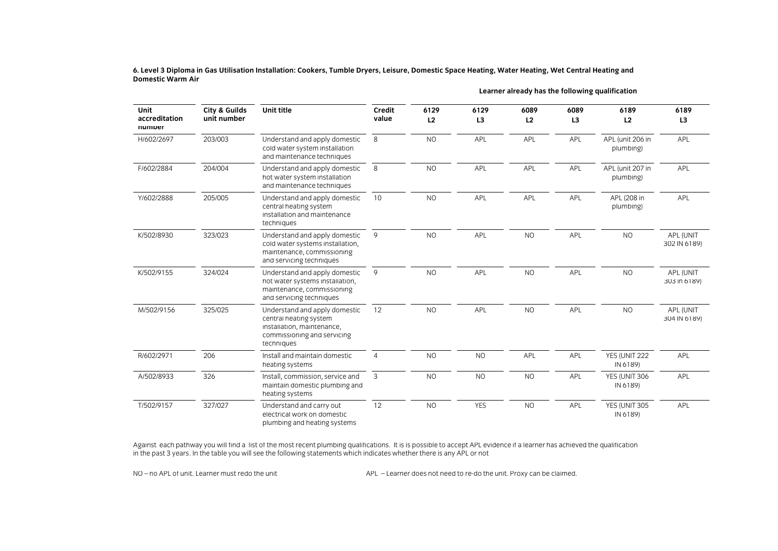6. Level 3 Diploma in Gas Utilisation Installation: Cookers, Tumble Dryers, Leisure, Domestic Space Heating, Water Heating, Wet Central Heating and<br>Domestic Warm Air

| <b>Unit</b><br>accreditation<br>numper | <b>City &amp; Guilds</b><br>unit number | Unit title                                                                                                                         | Credit<br>value | 6129<br>L2 | 6129<br>L3 | 6089<br>L2 | 6089<br>L <sub>3</sub> | 6189<br>L2                    | 6189<br>L <sub>3</sub>    |
|----------------------------------------|-----------------------------------------|------------------------------------------------------------------------------------------------------------------------------------|-----------------|------------|------------|------------|------------------------|-------------------------------|---------------------------|
| H/602/2697                             | 203/003                                 | Understand and apply domestic<br>cold water system installation<br>and maintenance techniques                                      | 8               | <b>NO</b>  | APL        | APL        | APL                    | APL (unit 206 in<br>plumbing) | APL                       |
| F/602/2884                             | 204/004                                 | Understand and apply domestic<br>hot water system installation<br>and maintenance techniques                                       | 8               | <b>NO</b>  | APL        | APL        | APL                    | APL (unit 207 in<br>plumbing) | APL                       |
| Y/602/2888                             | 205/005                                 | Understand and apply domestic<br>central heating system<br>installation and maintenance<br>techniques                              | 10              | <b>NO</b>  | APL        | APL        | APL                    | APL (208 in<br>plumbing)      | APL                       |
| K/502/8930                             | 323/023                                 | Understand and apply domestic<br>cold water systems installation.<br>maintenance, commissioning<br>and servicing techniques        | 9               | NO.        | <b>APL</b> | <b>NO</b>  | APL                    | <b>NO</b>                     | APL (UNIT<br>302 IN 6189) |
| K/502/9155                             | 324/024                                 | Understand and apply domestic<br>hot water systems installation,<br>maintenance, commissioning<br>and servicing techniques         | 9               | <b>NO</b>  | APL        | <b>NO</b>  | APL                    | <b>NO</b>                     | APL (UNIT<br>303 in 6189) |
| M/502/9156                             | 325/025                                 | Understand and apply domestic<br>central heating system<br>installation, maintenance,<br>commissioning and servicing<br>techniques | 12              | <b>NO</b>  | APL        | <b>NO</b>  | APL                    | <b>NO</b>                     | APL (UNIT<br>304 IN 6189) |
| R/602/2971                             | 206                                     | Install and maintain domestic<br>heating systems                                                                                   | $\overline{4}$  | <b>NO</b>  | <b>NO</b>  | APL        | APL                    | YES (UNIT 222<br>IN 6189)     | APL                       |
| A/502/8933                             | 326                                     | Install, commission, service and<br>maintain domestic plumbing and<br>heating systems                                              | 3               | <b>NO</b>  | NO         | <b>NO</b>  | APL                    | YES (UNIT 306<br>IN 6189)     | <b>APL</b>                |
| T/502/9157                             | 327/027                                 | Understand and carry out<br>electrical work on domestic<br>plumbing and heating systems.                                           | 12              | <b>NO</b>  | <b>YES</b> | <b>NO</b>  | APL                    | YES (UNIT 305<br>IN 6189)     | APL                       |

**Learner already has the following qualification**

In the past 3 years. In the table you will see the following statements which indicates whether there is any APL or not in the past 3 years. In the table you will see the following statements which indicates whether there is any APL or not

plumbing and heating systems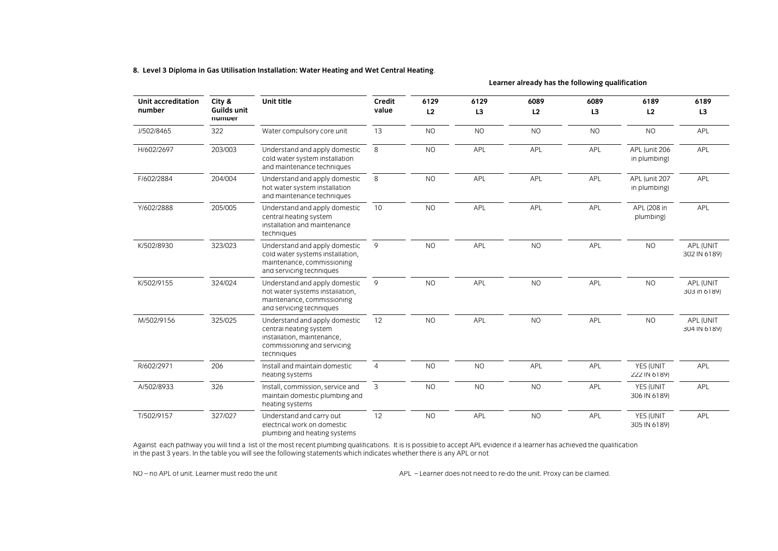**8. Level 3 Diploma in Gas Utilisation Installation: Water Heating and Wet Central Heating**.

Unit accreditation **City & Unit title** Credit 6129 6129 6089 6089 6189 6189 **number value 6129 6129 6089 6089 6189 6189 numper number** J/502/8465 322 Water compulsory core unit 13 NO NO NO NO NO APL H/602/2697 203/003 Understand and apply domestic 8 NO APL APL APL APL (unit 206 APL and maintenance techniques F/602/2884 204/004 Understand and apply domestic 8 NO APL APL APL APL (unit 207 APL Understand and apply domestic and maintenance techniques Y/602/2888 205/005 Understand and apply domestic 10 NO APL APL APL APL (208 in APL Understand and apply domestic installation and maintenance techniques K/502/8930 323/023 Understand and apply domestic 9 NO APL NO APL NO APL NO APL NO APL NO APL (UNIT Understand and apply domestic  $m$ aintenance, commissioning and servicing techniques K/502/9155 324/024 Understand and apply domestic 9 NO APL NO APL NO APL NO APL NO APL (UNIT Understand and apply domestic maintenance, commissioning and servicing techniques M/502/9156 325/025 Understand and apply domestic 12 NO APL NO APL NO APL NO APL NO APL NO APL NO APL (UNIT Understand and apply domestic N<sub>O</sub> APL **NO** APL **NO** installation, maintenance. commissioning and servicing techniques  $\overline{4}$ R/602/2971 206 Install and maintain domestic **NO** N<sub>O</sub> APL API YES (UNIT APL R/602/297 IN 61891 2002 INStall and maintain domestic 4 NO NO NO NO NO NO APPLE AND MAINTAIN AND MAINTAIN AND MAINTAIN AND MAINTAIN AND MAINTAIN AND MAINTAIN AND MAINTAIN AND MAINTAIN AND MAINTAIN AND MAINTAIN AND MAINTAIN <u>heating systems</u> 222 Inc. 222 Inc. 222 Inc. 222 Inc. 222 Inc. 222 Inc. 223 Inc. 223 Inc. 223 Inc. 223 Inc. 223 Inc. 223 Inc. 223 Inc. 223 Inc. 223 Inc. 223 Inc. 223 Inc. 223 Inc. 223 Inc. 223 Inc. 223 Inc. 223 Inc. 223 In A/502/8933 326 Install, commission, service and 3 NO NO NO NO APL THE YES (UNIT APL YES (UNIT Maintain domestic plumbing and 199) APL maintain domestic plumbing and 306 International control of the state plumbing and 306 International control of the state of the state of the state of the state of the state of the state of the state of the state of the st heating systems<br>Understand and carry out T/502/9157 327/027  $\overline{12}$ N<sub>O</sub> **APL**  $N<sub>O</sub>$ APL YES (UNIT APL The electrical work on domestic that the state of the state of the state of the state of the state of the state of the state of the state of the state of the state of the state of the state of the state of the state of the plumbing and heating systems

in the past 3 years. In the table you will see the following statements which indicates whether there is any APL or not in the past 3 years. In the table you will see the following statements which indicates whether there is any APL or not Against each pathway you will find a list of the most recent plumbing qualifications. It is is possible to accept APL evidence if a learner has achieved the qualification

NO - no APL of unit. Learner must redo the unit

NO – no APL of unit. Learner must redo the unit APL – Learner does not need to re-do the unit. Proxy can be claimed.

**Learner already has the following qualification**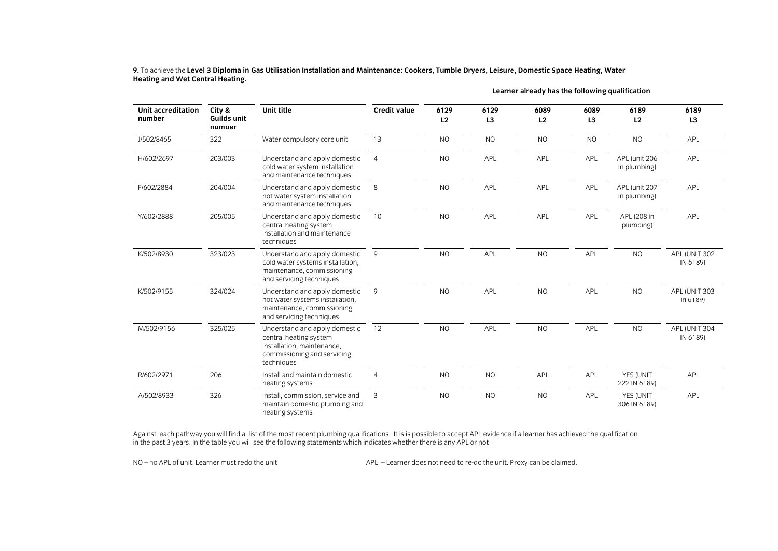**Learner already has the following qualification City &**  Unit title **Unit accreditation 6129 6089 6089 6189 6189 Unit title Credit value 6129 numper** J/502/8465 322 13 **NO NO NO NO NO** APL J/502/8465 322 Water compulsory core unit 13 NO NO NO NO NO APL H/602/2697 203/003 H/602/2697 203/003 Understand and apply domestic 4 NO APL APL APL APL (unit 206 APL  $\overline{4}$  $N<sub>O</sub>$ APL APL APL APL and maintenance techniques F/602/2884 204/004 Understand and apply domestic 8 **NO** APL APL APL APL (unit 207 APL F/602/2884 204/004 Understand and apply domestic 8 NO APL APL APL APL (unit 207 APL and maintenance techniques Y/602/2888 205/005 Understand and apply domestic Viderstand and apply domestic 10 NO APL APL APL APL APL APL APL APL 208 in<br>
central heating system blumbing  $\overline{10}$  $N<sub>O</sub>$ APL APL APL APL installation and maintenance techniques **NO** API API K/502/8930 323/023 Understand and apply domestic Understand and apply domestic 9 0 NO APL NO APL NO APL NO APL NO APL NO APL NO APL NO APL NO APL (UNIT 302  $\overline{Q}$  $N<sub>O</sub>$  $N<sub>O</sub>$ maintenance, commissioning and servicing techniques K/502/9155 324/024 Understand and apply domestic  $\overline{9}$ Understand and apply domestic 9<br>
NO APL NO APL NO APL NO APL NO APL NO APL NO APL NO APL NO APL NO APL NO APL APL (UNIT 303  $\overline{NQ}$ **API**  $\overline{N}$ **API**  $N<sub>O</sub>$ maintenance, commissioning and servicing techniques M/502/9156 325/025 Understand and apply domestic 12  $N<sub>O</sub>$ API  $N<sub>O</sub>$ API  $N<sub>O</sub>$ API (UNIT 304 MOSE AND THE CENTRE CONTROL CONTROL CONTROL CONTROL CONTROL CONTROL CONTROL CONTROL CONTROL CONTROL CONTROL CONTROL CONTROL CONTROL CONTROL CONTROL CONTROL CONTROL CONTROL CONTROL CONTROL CONTROL CONTROL CONTROL CONTROL CO central heating system IN 6189)<br>
IN 6189 Installation, maintenance,

R/602/2007 206 Install and maintain domestic 4 NO NO APPENDIX 10 NO NO APPENDIX 10 NO NO APPENDIX 10 NO APPENDIX 1<br>Preacting systems

 $\frac{1}{2}$  Heating and Wet Central Heating **Heating and Wet Central Heating.**

Against each pathway you will find a list of the most recent plumbing qualifications. It is is possible to accept APL evidence if a learner has achieved the qualification in the past 3 years. In the table you will see the in the past 3 years. In the table you will see the following statements which indicates whether there is any APL or not

 $\overline{4}$ 

commissioning and servicing

Install and maintain domestic

techniques

heating systems

206

326

R/602/2971

A/502/8933

NO – no APL of unit APL – Learner must redo the unit APL – Learner does not need to re-do-the unit. Proxy can be claimed.

<u>heating systems 222 Inc. (222 Inc. (222 Inc. (222 Inc. (222 Inc. (222 Inc. (223 Inc. (223 Inc. (224 Inc. (224 Inc. (224 Inc. (224 Inc. (224 Inc. (224 Inc. (224 Inc. (224 Inc. (224 Inc. (224 Inc. (224 Inc. (224 Inc. (224 I</u> Article A/502/893 Install, commission, service and 3 NO NO NO NO APL YES (UNIT Maintain domestic plumbing and 3 NO NO APL 306 IN 6189)  $\frac{1}{2}$  matrix  $\frac{1}{2}$  and  $\frac{1}{2}$  in  $\frac{1}{2}$  in  $\frac{1}{2}$  in  $\frac{1}{2}$  in  $\frac{1}{2}$  in  $\frac{1}{2}$  in  $\frac{1}{2}$  in  $\frac{1}{2}$  in  $\frac{1}{2}$  in  $\frac{1}{2}$  in  $\frac{1}{2}$  in  $\frac{1}{2}$  in  $\frac{1}{2}$  in  $\frac{1}{2}$  in  $\frac{1}{2}$ 

**NO** 

APL

APL

APL

APL

N<sub>O</sub>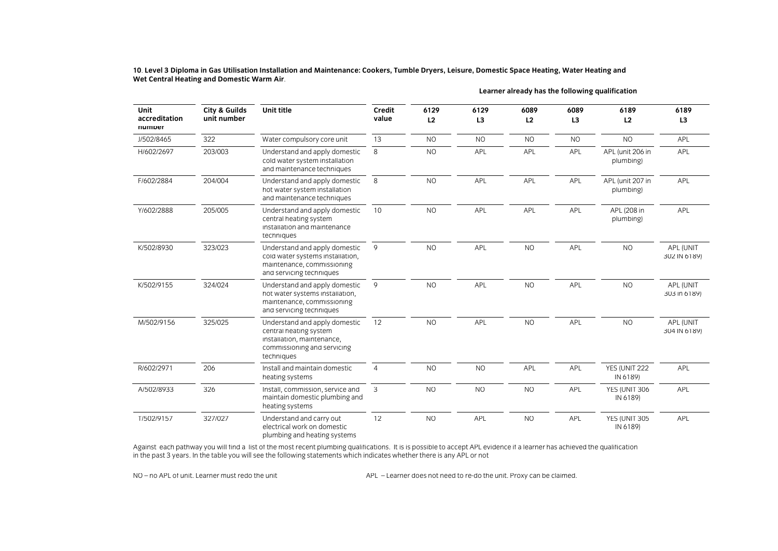Wet Central Heating and Domestic Warm Air  $\frac{1}{2}$ **Wet Central Heating and Domestic Warm Air**.

| Unit<br>accreditation<br>numper | City & Guilds<br>unit number | Unit title                                                                                                                         | Credit<br>value | 6129<br>L2     | 6129<br>L <sub>3</sub> | 6089<br>L2     | 6089<br>L <sub>3</sub> | 6189<br>L2                    | 6189<br>L3                |
|---------------------------------|------------------------------|------------------------------------------------------------------------------------------------------------------------------------|-----------------|----------------|------------------------|----------------|------------------------|-------------------------------|---------------------------|
| J/502/8465                      | 322                          | Water compulsory core unit                                                                                                         | 13              | N <sub>O</sub> | <b>NO</b>              | <b>NO</b>      | N <sub>O</sub>         | <b>NO</b>                     | APL                       |
| H/602/2697                      | 203/003                      | Understand and apply domestic<br>cold water system installation<br>and maintenance techniques                                      | 8               | <b>NO</b>      | APL                    | APL            | APL                    | APL (unit 206 in<br>plumbing) | APL                       |
| F/602/2884                      | 204/004                      | Understand and apply domestic<br>hot water system installation<br>and maintenance techniques                                       | 8               | <b>NO</b>      | APL                    | APL            | APL                    | APL (unit 207 in<br>plumbing) | <b>APL</b>                |
| Y/602/2888                      | 205/005                      | Understand and apply domestic<br>central heating system<br>installation and maintenance<br>techniques                              | 10              | <b>NO</b>      | APL                    | APL            | APL                    | APL (208 in<br>plumbing)      | APL                       |
| K/502/8930                      | 323/023                      | Understand and apply domestic<br>cold water systems installation,<br>maintenance, commissioning<br>and servicing techniques        | 9               | <b>NO</b>      | APL                    | <b>NO</b>      | APL                    | <b>NO</b>                     | APL (UNIT<br>302 IN 6189) |
| K/502/9155                      | 324/024                      | Understand and apply domestic<br>hot water systems installation,<br>maintenance, commissioning<br>and servicing techniques         | 9               | <b>NO</b>      | APL                    | <b>NO</b>      | APL                    | <b>NO</b>                     | APL (UNIT<br>303 in 6189) |
| M/502/9156                      | 325/025                      | Understand and apply domestic<br>central heating system<br>installation, maintenance,<br>commissioning and servicing<br>techniques | 12              | <b>NO</b>      | APL                    | <b>NO</b>      | APL                    | <b>NO</b>                     | APL (UNIT<br>304 IN 6189) |
| R/602/2971                      | 206                          | Install and maintain domestic<br>heating systems                                                                                   | $\overline{4}$  | <b>NO</b>      | <b>NO</b>              | <b>APL</b>     | APL                    | YES (UNIT 222<br>IN 6189)     | <b>APL</b>                |
| A/502/8933                      | 326                          | Install, commission, service and<br>maintain domestic plumbing and<br>heating systems                                              | 3               | <b>NO</b>      | <b>NO</b>              | N <sub>O</sub> | APL                    | YES (UNIT 306<br>IN 6189)     | APL                       |
| T/502/9157                      | 327/027                      | Understand and carry out<br>electrical work on domestic<br>plumbing and heating systems                                            | 12              | <b>NO</b>      | <b>APL</b>             | <b>NO</b>      | <b>APL</b>             | YES (UNIT 305<br>IN 6189)     | <b>APL</b>                |

**Learner already has the following qualification**

 $\alpha$  and the most recent particle will find a list of the most recent plumbing qualities  $\alpha$  is the most recent plumbing qualities of the most  $\alpha$  learner has actually contributed to achieve if a learner has achieved th in the past 3 years. In the table you will see the following statements which indicates whether there is any APL or not

NO - no APL of unit. Learner must redo the unit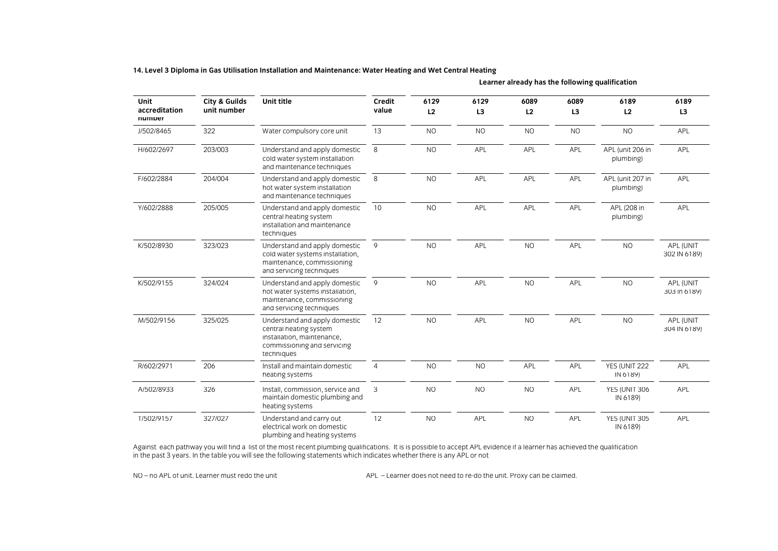**14. Level 3 Diploma in Gas Utilisation Installation and Maintenance: Water Heating and Wet Central Heating**

| <b>Unit</b><br>accreditation<br>numper | <b>City &amp; Guilds</b><br>unit number | Unit title                                                                                                                         | Credit<br>value | 6129<br>L2 | 6129<br>L3     | 6089<br>L2 | 6089<br>L <sub>3</sub> | 6189<br>L2                    | 6189<br>L3                |
|----------------------------------------|-----------------------------------------|------------------------------------------------------------------------------------------------------------------------------------|-----------------|------------|----------------|------------|------------------------|-------------------------------|---------------------------|
| J/502/8465                             | 322                                     | Water compulsory core unit                                                                                                         | 13              | <b>NO</b>  | <b>NO</b>      | <b>NO</b>  | <b>NO</b>              | <b>NO</b>                     | APL                       |
| H/602/2697                             | 203/003                                 | Understand and apply domestic<br>cold water system installation<br>and maintenance techniques                                      | 8               | <b>NO</b>  | APL            | <b>APL</b> | APL                    | APL (unit 206 in<br>plumbing) | <b>APL</b>                |
| F/602/2884                             | 204/004                                 | Understand and apply domestic<br>hot water system installation<br>and maintenance techniques                                       | 8               | <b>NO</b>  | APL            | APL        | APL                    | APL (unit 207 in<br>plumbing) | APL                       |
| Y/602/2888                             | 205/005                                 | Understand and apply domestic<br>central heating system<br>installation and maintenance<br>techniques                              | 10              | <b>NO</b>  | <b>APL</b>     | APL        | APL                    | APL (208 in<br>plumbing)      | APL                       |
| K/502/8930                             | 323/023                                 | Understand and apply domestic<br>cold water systems installation,<br>maintenance, commissioning<br>and servicing techniques        | 9               | <b>NO</b>  | APL            | <b>NO</b>  | APL                    | <b>NO</b>                     | APL (UNIT<br>302 IN 6189) |
| K/502/9155                             | 324/024                                 | Understand and apply domestic<br>hot water systems installation,<br>maintenance, commissioning<br>and servicing techniques         | 9               | <b>NO</b>  | APL            | <b>NO</b>  | APL                    | <b>NO</b>                     | APL (UNIT<br>303 in 6189) |
| M/502/9156                             | 325/025                                 | Understand and apply domestic<br>central heating system<br>installation, maintenance,<br>commissioning and servicing<br>techniques | 12              | <b>NO</b>  | APL            | <b>NO</b>  | APL                    | <b>NO</b>                     | APL (UNIT<br>304 IN 6189) |
| R/602/2971                             | 206                                     | Install and maintain domestic<br>heating systems                                                                                   | $\overline{4}$  | <b>NO</b>  | N <sub>O</sub> | APL        | APL                    | YES (UNIT 222<br>IN 6189)     | APL                       |
| A/502/8933                             | 326                                     | Install, commission, service and<br>maintain domestic plumbing and<br>heating systems                                              | 3               | <b>NO</b>  | <b>NO</b>      | <b>NO</b>  | APL                    | YES (UNIT 306<br>IN 6189)     | APL                       |
| T/502/9157                             | 327/027                                 | Understand and carry out<br>electrical work on domestic<br>plumbing and heating systems                                            | 12              | <b>NO</b>  | APL            | <b>NO</b>  | APL                    | YES (UNIT 305<br>IN 6189)     | APL                       |

**Learner already has the following qualification**

plumbing and heating systems  $\alpha$  and the most recent particle will find a list of the most recent plumbing qualities  $\alpha$  is the most recent plumbing qualities of the most  $\alpha$  learner has actually contributed to achieve if a learner has achieved th in the past 3 years. In the table you will see the following statements which indicates whether there is any APL or not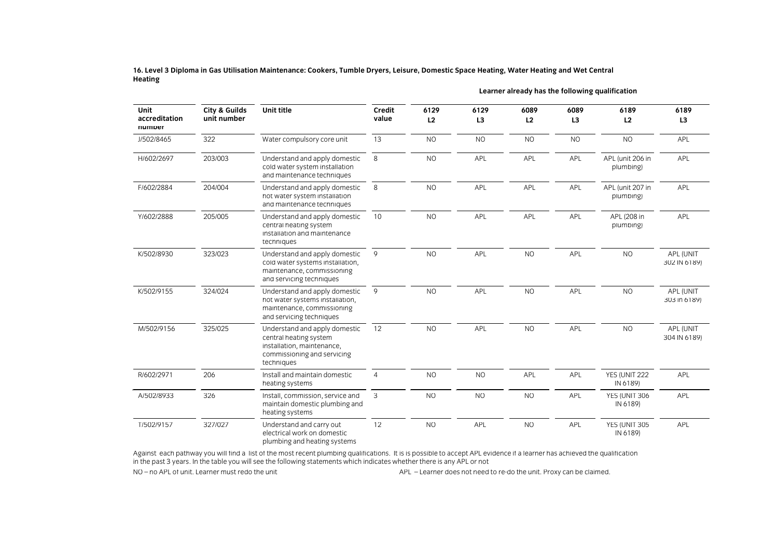16. Level 3 Diploma in Gas Utilisation Maintenance: Cookers, Tumble Dryers, Leisure, Domestic Space Heating, Water Heating and Wet Central **Heating**

| <b>Unit</b><br>accreditation<br>numper | <b>City &amp; Guilds</b><br>unit number | Unit title                                                                                                                         | Credit<br>value | 6129<br>L2     | 6129<br>L <sub>3</sub> | 6089<br>L2 | 6089<br>L <sub>3</sub> | 6189<br>L2                    | 6189<br>L3                |
|----------------------------------------|-----------------------------------------|------------------------------------------------------------------------------------------------------------------------------------|-----------------|----------------|------------------------|------------|------------------------|-------------------------------|---------------------------|
| J/502/8465                             | 322                                     | Water compulsory core unit                                                                                                         | 13              | N <sub>O</sub> | <b>NO</b>              | <b>NO</b>  | <b>NO</b>              | <b>NO</b>                     | <b>APL</b>                |
| H/602/2697                             | 203/003                                 | Understand and apply domestic<br>cold water system installation<br>and maintenance techniques                                      | 8               | <b>NO</b>      | APL                    | APL        | APL                    | APL (unit 206 in<br>plumbing) | APL                       |
| F/602/2884                             | 204/004                                 | Understand and apply domestic<br>hot water system installation<br>and maintenance techniques                                       | 8               | <b>NO</b>      | APL                    | APL        | APL                    | APL (unit 207 in<br>plumbing) | APL                       |
| Y/602/2888                             | 205/005                                 | Understand and apply domestic<br>central heating system<br>installation and maintenance<br>techniques                              | 10              | <b>NO</b>      | APL                    | APL        | APL                    | APL (208 in<br>plumbing)      | <b>APL</b>                |
| K/502/8930                             | 323/023                                 | Understand and apply domestic<br>cold water systems installation,<br>maintenance, commissioning<br>and servicing techniques        | 9               | <b>NO</b>      | APL                    | <b>NO</b>  | APL                    | <b>NO</b>                     | APL (UNIT<br>302 IN 6189) |
| K/502/9155                             | 324/024                                 | Understand and apply domestic<br>hot water systems installation,<br>maintenance, commissioning<br>and servicing techniques         | 9               | <b>NO</b>      | <b>APL</b>             | <b>NO</b>  | APL                    | <b>NO</b>                     | APL (UNIT<br>303 in 6189) |
| M/502/9156                             | 325/025                                 | Understand and apply domestic<br>central heating system<br>installation, maintenance,<br>commissioning and servicing<br>techniques | 12              | <b>NO</b>      | APL                    | <b>NO</b>  | APL                    | <b>NO</b>                     | APL (UNIT<br>304 IN 6189) |
| R/602/2971                             | 206                                     | Install and maintain domestic<br>heating systems                                                                                   | $\overline{4}$  | <b>NO</b>      | <b>NO</b>              | <b>APL</b> | APL                    | YES (UNIT 222<br>IN 6189)     | APL                       |
| A/502/8933                             | 326                                     | Install, commission, service and<br>maintain domestic plumbing and<br>heating systems                                              | 3               | <b>NO</b>      | <b>NO</b>              | <b>NO</b>  | APL                    | YES (UNIT 306<br>IN 6189)     | APL                       |
| T/502/9157                             | 327/027                                 | Understand and carry out<br>electrical work on domestic<br>plumbing and heating systems                                            | 12              | N <sub>O</sub> | APL                    | <b>NO</b>  | APL                    | YES (UNIT 305<br>IN 6189)     | APL                       |

**Learner already has the following qualification**

plumbing and heating systems Against each pathway you will see the following statements which indicates whether there is any APL or not accept APL evidence is any APL or not  $\frac{1}{10}$  years. In the table you will see the following statements which indicates when  $\frac{1}{10}$  learner deep not no od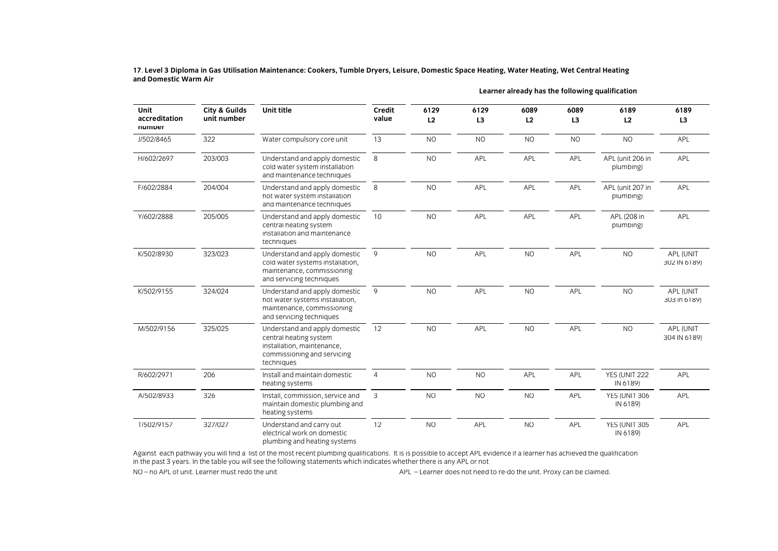and Domestic Warm Air  $\frac{1}{2}$ 

| Unit<br>accreditation<br>numper | City & Guilds<br>unit number | Unit title                                                                                                                         | Credit<br>value | 6129<br>L2     | 6129<br>L <sub>3</sub> | 6089<br>L2 | 6089<br>L <sub>3</sub> | 6189<br>L2                    | 6189<br>L <sub>3</sub>    |
|---------------------------------|------------------------------|------------------------------------------------------------------------------------------------------------------------------------|-----------------|----------------|------------------------|------------|------------------------|-------------------------------|---------------------------|
| J/502/8465                      | 322                          | Water compulsory core unit                                                                                                         | 13              | <b>NO</b>      | <b>NO</b>              | <b>NO</b>  | <b>NO</b>              | <b>NO</b>                     | APL                       |
| H/602/2697                      | 203/003                      | Understand and apply domestic<br>cold water system installation<br>and maintenance techniques                                      | 8               | <b>NO</b>      | APL                    | APL        | APL                    | APL (unit 206 in<br>plumbing) | APL                       |
| F/602/2884                      | 204/004                      | Understand and apply domestic<br>hot water system installation<br>and maintenance techniques                                       | 8               | <b>NO</b>      | <b>APL</b>             | APL        | APL                    | APL (unit 207 in<br>plumbing) | APL                       |
| Y/602/2888                      | 205/005                      | Understand and apply domestic<br>central heating system<br>installation and maintenance<br>techniques                              | 10 <sup>°</sup> | <b>NO</b>      | <b>APL</b>             | <b>APL</b> | APL                    | APL (208 in<br>plumbing)      | <b>APL</b>                |
| K/502/8930                      | 323/023                      | Understand and apply domestic<br>cold water systems installation,<br>maintenance, commissioning<br>and servicing techniques        | 9               | <b>NO</b>      | <b>APL</b>             | <b>NO</b>  | APL                    | NO                            | APL (UNIT<br>302 IN 6189) |
| K/502/9155                      | 324/024                      | Understand and apply domestic<br>hot water systems installation,<br>maintenance, commissioning<br>and servicing techniques         | 9               | <b>NO</b>      | <b>APL</b>             | <b>NO</b>  | APL                    | <b>NO</b>                     | APL (UNIT<br>303 in 6189) |
| M/502/9156                      | 325/025                      | Understand and apply domestic<br>central heating system<br>installation, maintenance,<br>commissioning and servicing<br>techniques | 12              | <b>NO</b>      | <b>APL</b>             | <b>NO</b>  | APL                    | <b>NO</b>                     | APL (UNIT<br>304 IN 6189) |
| R/602/2971                      | 206                          | Install and maintain domestic<br>heating systems                                                                                   | $\overline{4}$  | <b>NO</b>      | <b>NO</b>              | APL        | APL                    | YES (UNIT 222<br>IN 6189)     | APL                       |
| A/502/8933                      | 326                          | Install, commission, service and<br>maintain domestic plumbing and<br>heating systems                                              | 3               | <b>NO</b>      | <b>NO</b>              | <b>NO</b>  | APL                    | YES (UNIT 306<br>IN 6189)     | APL                       |
| T/502/9157                      | 327/027                      | Understand and carry out<br>electrical work on domestic<br>plumbing and heating systems                                            | 12              | N <sub>O</sub> | APL                    | <b>NO</b>  | APL                    | YES (UNIT 305<br>IN 6189)     | APL                       |

**Learner already has the following qualification**

plumbing and heating systems Against each pathway you will see the following statements which indicates whether there is any APL or not accept APL evidence is any APL or not  $\frac{1}{10}$  years. In the table you will see the following statements which indicates when  $\frac{1}{10}$  learner deep not no od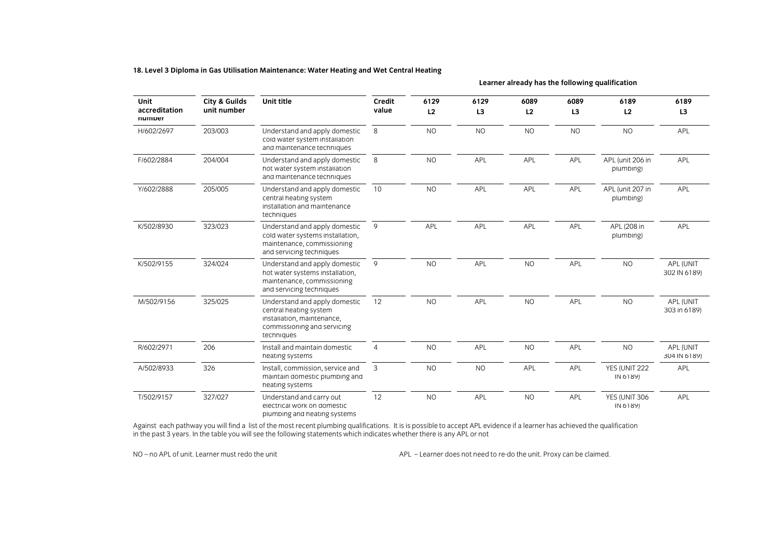## **18. Level 3 Diploma in Gas Utilisation Maintenance: Water Heating and Wet Central Heating**

**Learner already has the following qualification**

| <b>Unit</b><br>accreditation<br>numper | <b>City &amp; Guilds</b><br>unit number | Unit title                                                                                                                         | Credit<br>value | 6129<br>L2 | 6129<br>L3 | 6089<br>L2     | 6089<br>L <sub>3</sub> | 6189<br>L2                    | 6189<br>L3                |
|----------------------------------------|-----------------------------------------|------------------------------------------------------------------------------------------------------------------------------------|-----------------|------------|------------|----------------|------------------------|-------------------------------|---------------------------|
| H/602/2697                             | 203/003                                 | Understand and apply domestic<br>cold water system installation<br>and maintenance techniques                                      | 8               | <b>NO</b>  | <b>NO</b>  | N <sub>O</sub> | <b>NO</b>              | <b>NO</b>                     | <b>APL</b>                |
| F/602/2884                             | 204/004                                 | Understand and apply domestic<br>hot water system installation<br>and maintenance techniques                                       | 8               | <b>NO</b>  | APL        | APL            | APL                    | APL (unit 206 in<br>plumbing) | <b>APL</b>                |
| Y/602/2888                             | 205/005                                 | Understand and apply domestic<br>central heating system<br>installation and maintenance<br>techniques                              | 10              | <b>NO</b>  | <b>APL</b> | <b>APL</b>     | APL                    | APL (unit 207 in<br>plumbing) | <b>APL</b>                |
| K/502/8930                             | 323/023                                 | Understand and apply domestic<br>cold water systems installation,<br>maintenance, commissioning<br>and servicing techniques        | 9               | APL        | APL        | APL            | APL                    | APL (208 in<br>plumbing)      | APL                       |
| K/502/9155                             | 324/024                                 | Understand and apply domestic<br>hot water systems installation.<br>maintenance, commissioning<br>and servicing techniques         | 9               | <b>NO</b>  | APL        | N <sub>O</sub> | APL                    | <b>NO</b>                     | APL (UNIT<br>302 IN 6189) |
| M/502/9156                             | 325/025                                 | Understand and apply domestic<br>central heating system<br>installation, maintenance,<br>commissioning and servicing<br>techniques | 12              | <b>NO</b>  | <b>APL</b> | <b>NO</b>      | APL                    | <b>NO</b>                     | APL (UNIT<br>303 in 6189) |
| R/602/2971                             | 206                                     | Install and maintain domestic<br>heating systems                                                                                   | $\overline{4}$  | <b>NO</b>  | APL        | <b>NO</b>      | APL                    | <b>NO</b>                     | APL (UNIT<br>304 IN 6189) |
| A/502/8933                             | 326                                     | Install, commission, service and<br>maintain domestic plumbing and<br>heating systems                                              | 3               | <b>NO</b>  | <b>NO</b>  | APL            | APL                    | YES (UNIT 222<br>IN 6189)     | APL                       |
| T/502/9157                             | 327/027                                 | Understand and carry out<br>electrical work on domestic<br>plumbing and heating systems                                            | 12              | <b>NO</b>  | APL        | <b>NO</b>      | APL                    | YES (UNIT 306<br>IN 6189)     | APL                       |

plumbing and heating systems Against each pathway you will see the following statements which indicates whether there is any APL or not accept APL evidence is any APL or not in the past 3 years. In the table you will see the following statements which indicates whether there is any APL or not